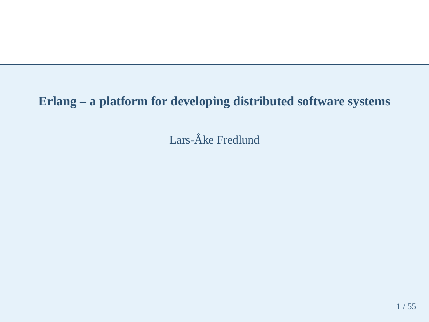# **Erlang – <sup>a</sup> platform for developing distributed software systems**

Lars-Åke Fredlund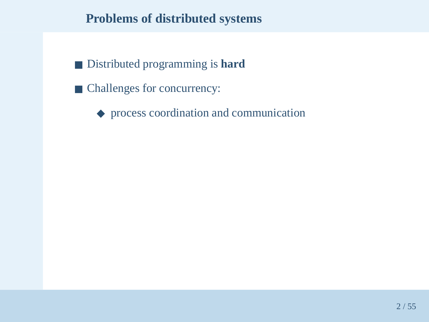#### **Problems of distributed systems**

- Distributed programming is **hard**
- Challenges for concurrency:
	- ◆ process coordination and communication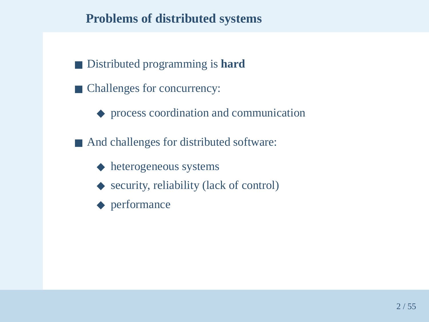#### **Problems of distributed systems**

- Distributed programming is **hard**
- Challenges for concurrency:
	- ◆ process coordination and communication
- And challenges for distributed software:
	- ◆ heterogeneous systems
	- ◆ security, reliability (lack of control)
	- ◆ performance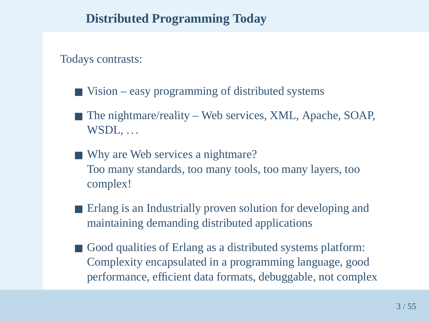# **Distributed Programming Today**

Todays contrasts:

- Vision easy programming of distributed systems
- The nightmare/reality Web services, XML, Apache, SOAP, WSDL, ...
- Why are Web services a nightmare? Too many standards, too many tools, too many layers, toocomplex!
- Erlang is an Industrially proven solution for developing and maintaining demanding distributed applications
- Good qualities of Erlang as a distributed systems platform: Complexity encapsulated in <sup>a</sup> programming language, goodperformance, efficient data formats, debuggable, not complex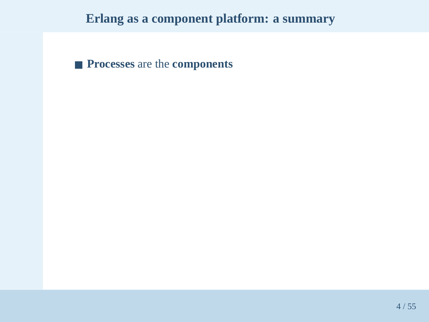■ **Processes** are the **components**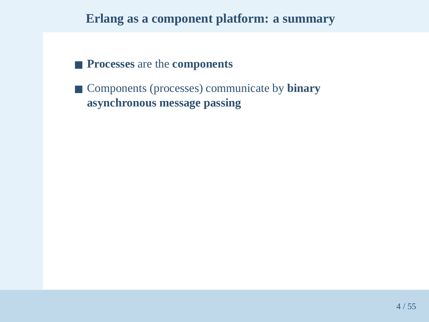- **Processes** are the **components**
- Components (processes) communicate by **binary asynchronous message passing**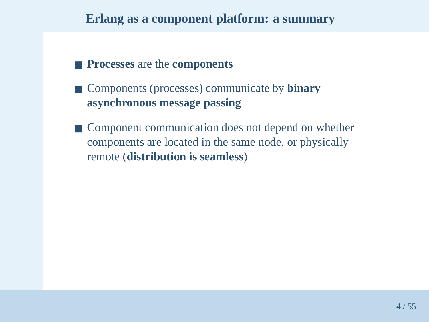- **Processes** are the **components**
- Components (processes) communicate by **binary asynchronous message passing**
- Component communication does not depend on whether components are located in the same node, or physicallyremote (**distribution is seamless**)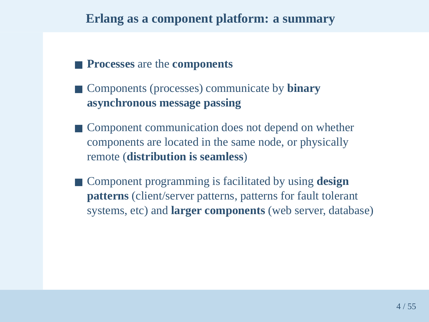- **Processes** are the **components**
- Components (processes) communicate by **binary asynchronous message passing**
- Component communication does not depend on whether components are located in the same node, or physicallyremote (**distribution is seamless**)
- Component programming is facilitated by using **design patterns** (client/server patterns, patterns for fault tolerant systems, etc) and **larger components** (web server, database)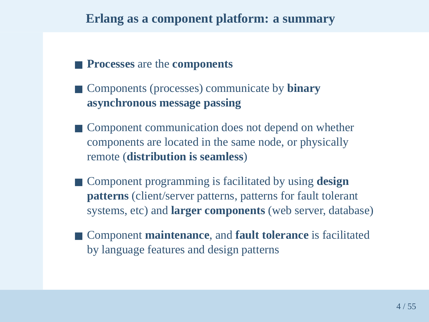- **Processes** are the **components**
- Components (processes) communicate by **binary asynchronous message passing**
- Component communication does not depend on whether components are located in the same node, or physicallyremote (**distribution is seamless**)
- Component programming is facilitated by using **design patterns** (client/server patterns, patterns for fault tolerant systems, etc) and **larger components** (web server, database)
- Component **maintenance**, and **fault tolerance** is facilitated by language features and design patterns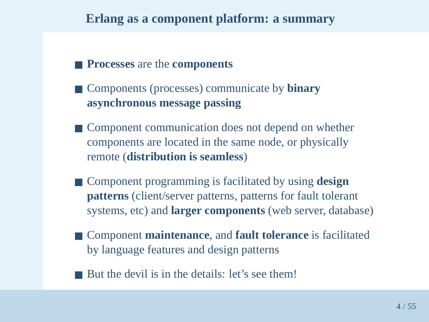- **Processes** are the **components**
- Components (processes) communicate by **binary asynchronous message passing**
- Component communication does not depend on whether components are located in the same node, or physicallyremote (**distribution is seamless**)
- Component programming is facilitated by using **design patterns** (client/server patterns, patterns for fault tolerant systems, etc) and **larger components** (web server, database)
- Component **maintenance**, and **fault tolerance** is facilitated by language features and design patterns
- But the devil is in the details: let's see them!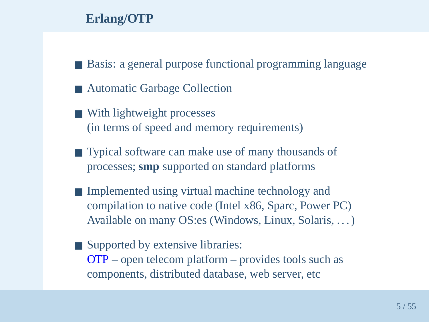# **Erlang/OTP**

- Basis: a general purpose functional programming language
- Automatic Garbage Collection
- With lightweight processes (in terms of speed and memory requirements)
- Typical software can make use of many thousands of processes; **smp** supported on standard <sup>p</sup>latforms
- Implemented using virtual machine technology and compilation to native code (Intel x86, Sparc, Power PC)Available on many OS:es (Windows, Linux, Solaris, . . . )
- Supported by extensive libraries: OTP – open telecom <sup>p</sup>latform – provides tools such as components, distributed database, web server, etc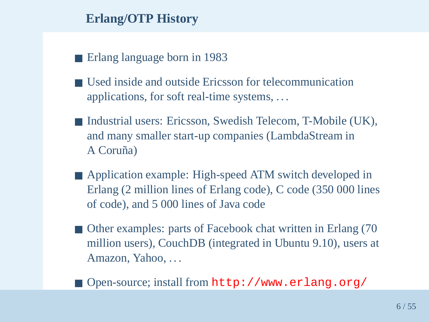# **Erlang/OTP History**

- Erlang language born in 1983
- Used inside and outside Ericsson for telecommunication applications, for soft real-time systems, . . .
- Industrial users: Ericsson, Swedish Telecom, T-Mobile (UK), and many smaller start-up companies (LambdaStream inA Coruña)
- Application example: High-speed ATM switch developed in Erlang (2 million lines of Erlang code), C code (350 000 linesof code), and 5 000 lines of Java code
- Other examples: parts of Facebook chat written in Erlang (70 million users), CouchDB (integrated in Ubuntu 9.10), users at Amazon, Yahoo, . . .
- Open-source; install from http://www.erlang.org/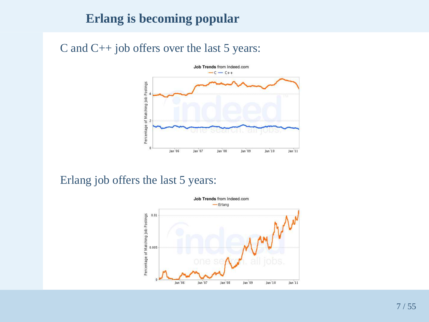# **Erlang is becoming popular**

C and C++ job offers over the last 5 years:



#### Erlang job offers the last 5 years:

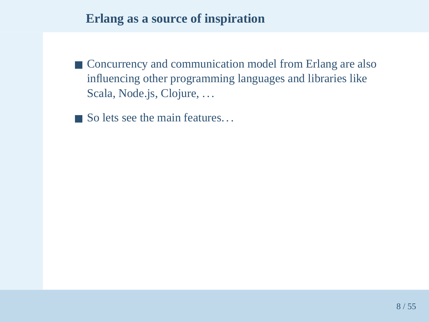# **Erlang as <sup>a</sup> source of inspiration**

- Concurrency and communication model from Erlang are also influencing other programming languages and libraries likeScala, Node.js, Clojure, ...
- $\blacksquare$  So lets see the main features...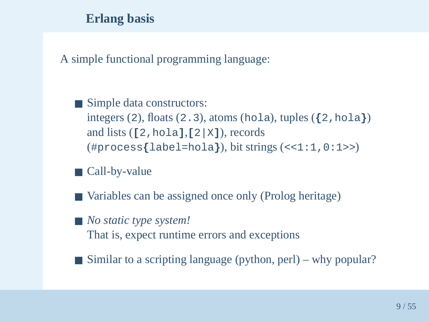### **Erlang basis**

A simple functional programming language:

- Simple data constructors: integers (2), floats (2.3), atoms (hola), tuples  $(2, \text{hola})$ and lists (**[**2,hola**]**,**[**2|X**]**), records(#process**{**label=hola**}**), bit strings (<<1:1,0:1>>)
- Call-by-value
- Variables can be assigned once only (Prolog heritage)
- *No static type system!* That is, expec<sup>t</sup> runtime errors and exceptions
- Similar to a scripting language (python, perl) why popular?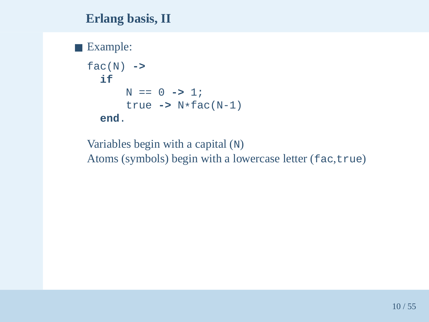#### **Erlang basis, II**

# ■ Example:

```
fac(N) ->
 ifN == 0 -> 1;
      true -> N*fac(N-1)
 end.
```
Variables begin with <sup>a</sup> capital (N)Atoms (symbols) begin with a lowercase letter (fac,true)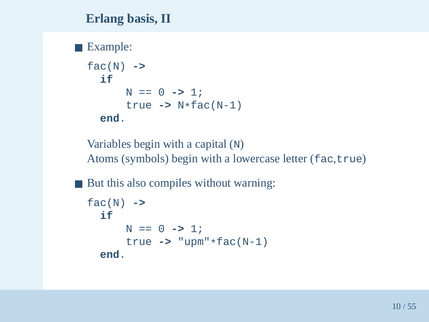#### **Erlang basis, II**

# ■ Example:

```
fac(N) ->
 ifN == 0 -> 1;
      true -> N*fac(N-1)
 end.
```
Variables begin with <sup>a</sup> capital (N)Atoms (symbols) begin with a lowercase letter (fac,true)

■ But this also compiles without warning:

```
fac(N) ->
 ifN == 0 -> 1;
      true -> "upm"*fac(N-1)
 end.
```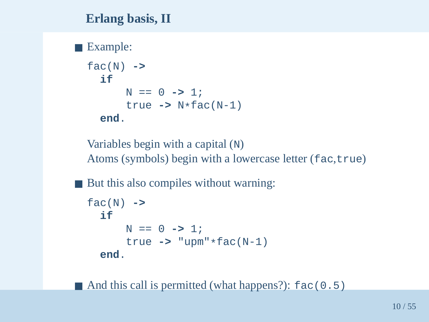### **Erlang basis, II**

# ■ Example:

```
fac(N) ->
 ifN == 0 -> 1;
      true -> N*fac(N-1)
 end.
```
Variables begin with <sup>a</sup> capital (N)Atoms (symbols) begin with a lowercase letter (fac,true)

■ But this also compiles without warning:

```
fac(N) ->
  ifN == 0 \rightarrow 1;
       true -> "upm"*fac(N-1)
  end.
```
■ And this call is permitted (what happens?): fac(0.5)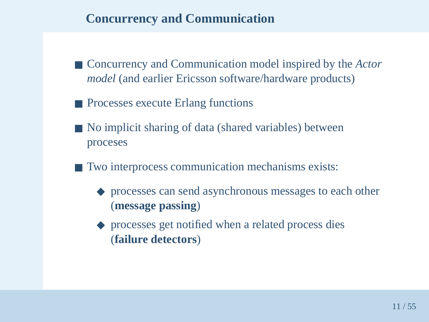# **Concurrency and Communication**

- Concurrency and Communication model inspired by the *Actor model* (and earlier Ericsson software/hardware products)
- Processes execute Erlang functions
- No implicit sharing of data (shared variables) between proceses
- Two interprocess communication mechanisms exists:
	- ◆ processes can send asynchronous messages to each other (**message passing**)
	- ◆ processes get notified when a related process dies (**failure detectors**)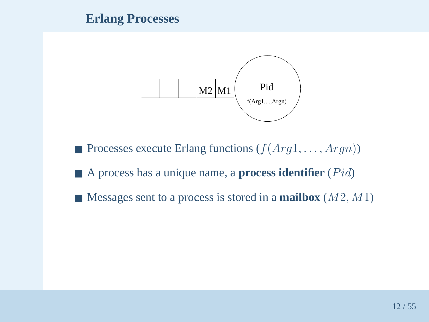#### **Erlang Processes**



- **•** Processes execute Erlang functions  $(f(Arg1, \ldots, Argn))$
- A process has a unique name, a **process identifier** (*Pid*)
- Messages sent to a process is stored in a **mailbox** (*M*2, *M*1)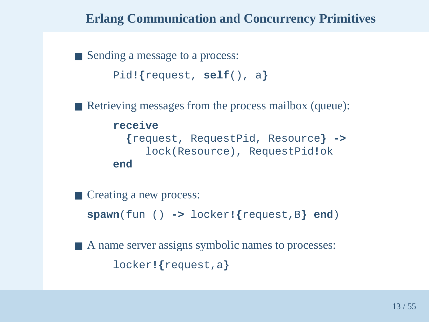# **Erlang Communication and Concurrency Primitives**

■ Sending a message to a process: Pid**!{**request, **self**(), <sup>a</sup> **}**

■ Retrieving messages from the process mailbox (queue):

#### **receive**

```

{request, RequestPid, Resource} ->
     lock(Resource), RequestPid!ok
end
```
■ Creating a new process:

**spawn**(fun () **->** locker**!{**request,B**} end**)

■ A name server assigns symbolic names to processes: locker**!{**request,a**}**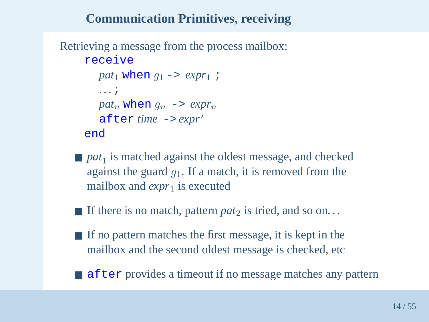# **Communication Primitives, receiving**

```
Retrieving a message from the process mailbox:receivepat_1 when g_1 \rightarrow exp r_1 ;
        . . .;
patng_n when g_n \rightarrow exp r_n
after time -> expr'
     end
```
- $\blacksquare$  pat<sub>1</sub>  $\frac{1}{1}$  is matched against the oldest message, and checked against the guard  $g_1.$  If a match, it is removed from the mailbox and *expr* 1 is executed
- If there is no match, pattern *pat*<sub>2</sub> is tried, and so on...
- If no pattern matches the first message, it is kept in the mailbox and the second oldest message is checked, etc
- after provides a timeout if no message matches any pattern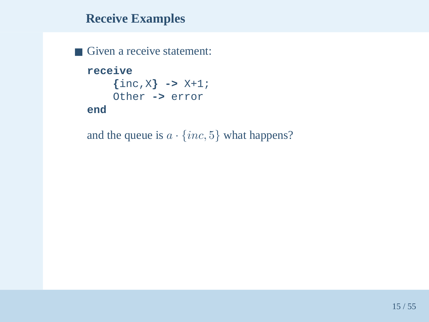■ Given a receive statement: **receive {**inc,X**} ->** X+1; Other **->** error **end**

and the queue is  $a \cdot \{inc, 5\}$  what happens?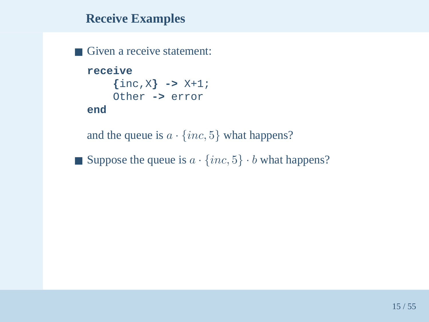■ Given a receive statement: **receive {**inc,X**} ->** X+1; Other **->** error **end**

and the queue is  $a \cdot \{inc, 5\}$  what happens?

**■** Suppose the queue is  $a \cdot \{inc, 5\} \cdot b$  what happens?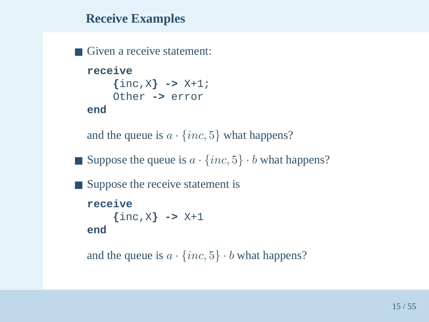```
■ Given a receive statement:
  receive
{inc,X} -> X+1;
       Other -> error
  end
```
and the queue is  $a \cdot \{inc, 5\}$  what happens?

**■** Suppose the queue is  $a \cdot \{inc, 5\} \cdot b$  what happens?

```
■ Suppose the receive statement is
  receive
{inc,X} -> X+1
  end
```

```
and the queue is a \cdot \{inc, 5\} \cdot b what happens?
```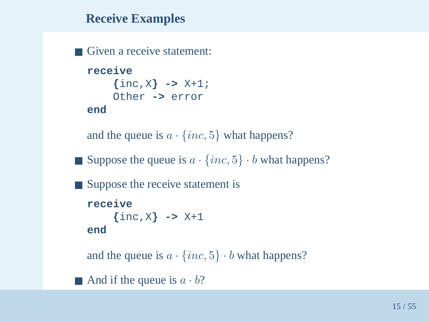```
■ Given a receive statement:
  receive
{inc,X} -> X+1;
       Other -> error
  end
```

```
and the queue is a \cdot \{inc, 5\} what happens?
```
**■** Suppose the queue is  $a \cdot \{inc, 5\} \cdot b$  what happens?

```
■ Suppose the receive statement is
  receive
{inc,X} -> X+1
  end
```
and the queue is  $a \cdot \{inc, 5\} \cdot b$  what happens?

And if the queue is  $a \cdot b$ ?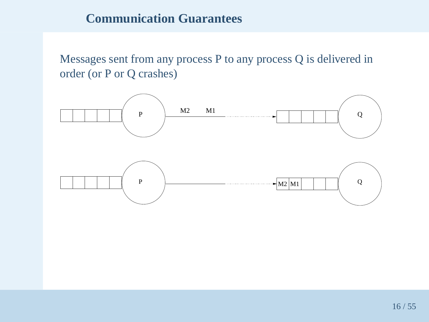### **Communication Guarantees**

Messages sent from any process P to any process Q is delivered in order (or P or Q crashes)

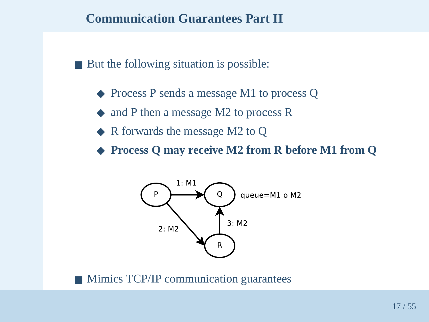#### **Communication Guarantees Part II**

■ But the following situation is possible:

- ◆ Process P sends a message M1 to process Q
- ◆ and P then a message M2 to process R
- ◆ R forwards the message M2 to Q
- ◆ **Process <sup>Q</sup> may receive M2 from <sup>R</sup> before M1 from <sup>Q</sup>**



■ Mimics TCP/IP communication guarantees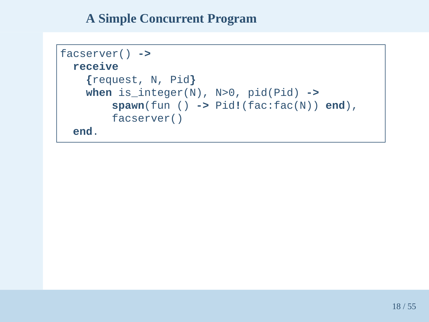```
facserver() ->
 receive
{request, N, Pid
}
when is_integer(N), N>0, pid(Pid) ->
       spawn(fun () -> Pid!(fac:fac(N)) end),
       facserver()end.
```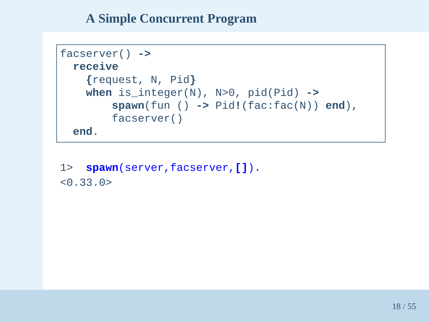```
facserver() ->
 receive
{request, N, Pid
}
when is_integer(N), N>0, pid(Pid) ->
       spawn(fun () -> Pid!(fac:fac(N)) end),
       facserver()end.
```
1> **spawn**(server,facserver,**[]**).  $< 0.33.0>$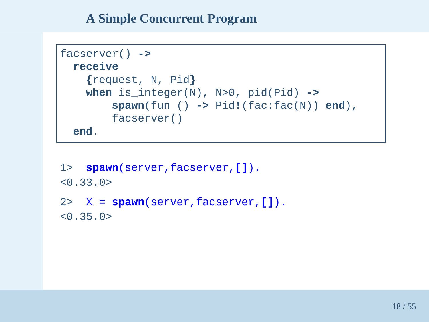```
facserver() ->
 receive
{request, N, Pid
}
when is_integer(N), N>0, pid(Pid) ->
       spawn(fun () -> Pid!(fac:fac(N)) end),
       facserver()end.
```
1> **spawn**(server,facserver,**[]**).  $< 0.33.0>$ 2> <sup>X</sup> <sup>=</sup> **spawn**(server,facserver,**[]**).

```
\leq 0.35.0
```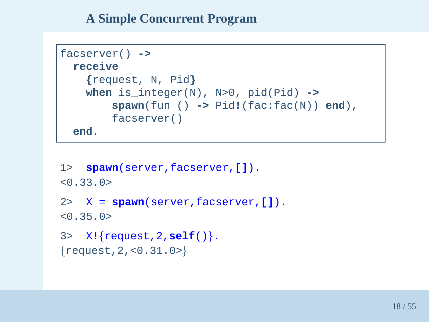```
facserver() ->
 receive
{request, N, Pid
}
when is_integer(N), N>0, pid(Pid) ->
       spawn(fun () -> Pid!(fac:fac(N)) end),
       facserver()end.
```

```
1> spawn(server,facserver,[]).
< 0.33.0>2> X = spawn(server,facserver,[]).
< 0.35.0>3>X!{request,2,self()}.\{{\tt request} , 2 , {<}0 . 31 . 0{>} \}
```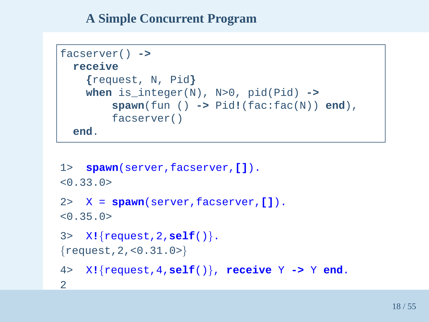```
facserver() ->
 receive
{request, N, Pid
}
when is_integer(N), N>0, pid(Pid) ->
       spawn(fun () -> Pid!(fac:fac(N)) end),
       facserver()end.
```

```
1> spawn(server,facserver,[]).
< 0.33.0>2> X = spawn(server,facserver,[]).
< 0.35.0>3>X!{request,2,self()}.\{{\tt request} , 2 , {<}0 . 31 . 0{>} \}4>X!{request,4,self()}, receive
Y ->
Y end.

2
```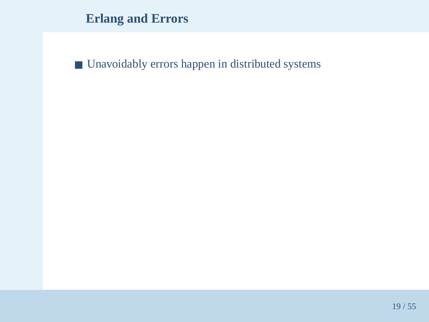**Erlang and Errors**

■ Unavoidably errors happen in distributed systems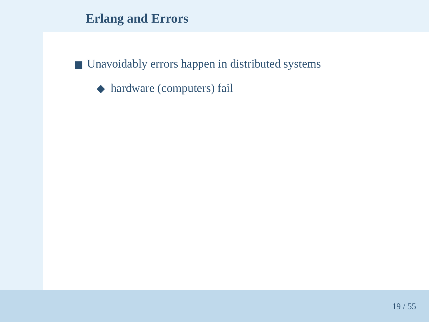# **Erlang and Errors**

■ Unavoidably errors happen in distributed systems

◆ hardware (computers) fail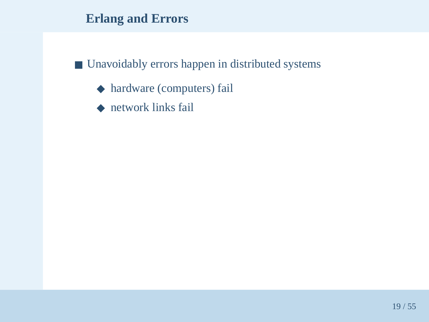# **Erlang and Errors**

# ■ Unavoidably errors happen in distributed systems

- ◆ hardware (computers) fail
- ◆ network links fail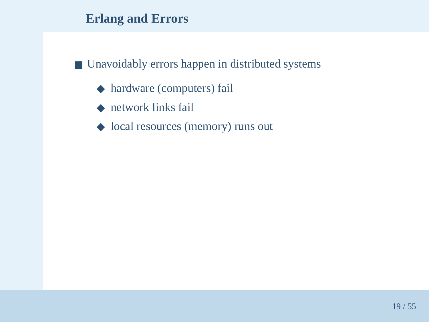- ◆ hardware (computers) fail
- ◆ network links fail
- ◆ local resources (memory) runs out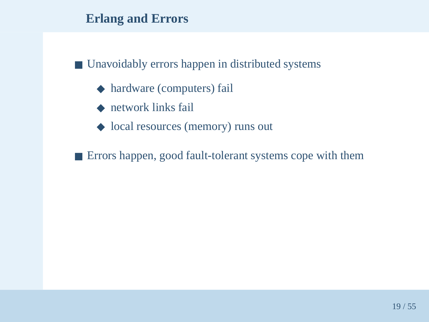# ■ Unavoidably errors happen in distributed systems

- ◆ hardware (computers) fail
- ◆ network links fail
- ◆ local resources (memory) runs out

■ Errors happen, good fault-tolerant systems cope with them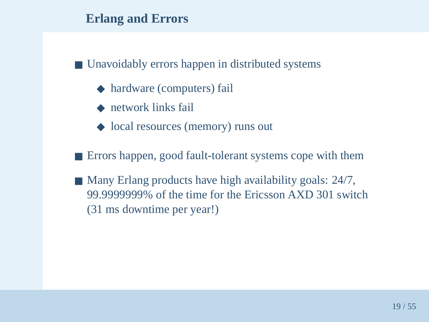- ◆ hardware (computers) fail
- ◆ network links fail
- ◆ local resources (memory) runs out
- Errors happen, good fault-tolerant systems cope with them
- Many Erlang products have high availability goals: 24/7, 99.9999999% of the time for the Ericsson AXD 301 switch(31 ms downtime per year!)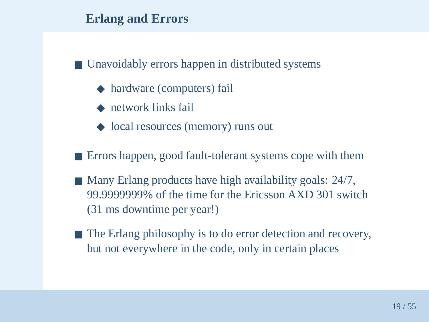- ◆ hardware (computers) fail
- ◆ network links fail
- ◆ local resources (memory) runs out
- Errors happen, good fault-tolerant systems cope with them
- Many Erlang products have high availability goals: 24/7, 99.9999999% of the time for the Ericsson AXD 301 switch(31 ms downtime per year!)
- The Erlang philosophy is to do error detection and recovery, but not everywhere in the code, only in certain places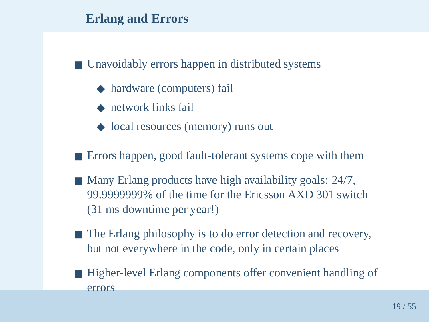- ◆ hardware (computers) fail
- ◆ network links fail
- ◆ local resources (memory) runs out
- Errors happen, good fault-tolerant systems cope with them
- Many Erlang products have high availability goals: 24/7, 99.9999999% of the time for the Ericsson AXD 301 switch(31 ms downtime per year!)
- The Erlang philosophy is to do error detection and recovery, but not everywhere in the code, only in certain places
- Higher-level Erlang components offer convenient handling of errors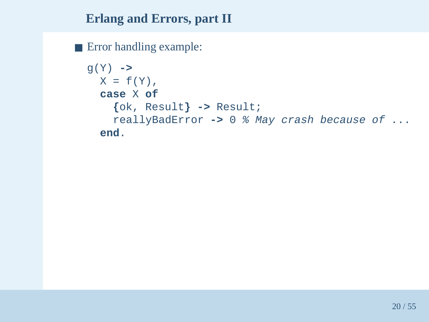■ Error handling example:

```
g(Y) ->
 X = f(Y),
  caseX of

{ok, Result} -> Result;
    reallyBadError ->
0 % May crash because of ...
 end.
```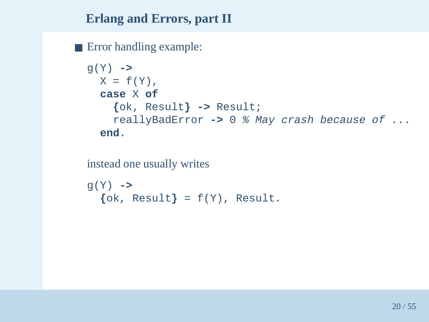■ Error handling example:

```
g(Y) ->
 X = f(Y),
  caseX of

{ok, Result} -> Result;
    reallyBadError ->
0 % May crash because of ...
 end.
```
instead one usually writes

```
g(Y) ->
  {ok, Result
} = f(Y), Result.
```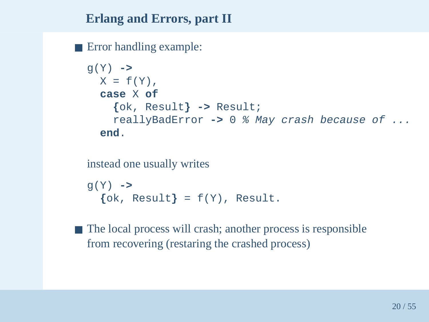■ Error handling example:

```
g(Y) ->
 X = f(Y),
  caseX of

{ok, Result} -> Result;
    reallyBadError ->
0 % May crash because of ...
 end.
```
instead one usually writes

```
g(Y) ->
  {ok, Result
} = f(Y), Result.
```
■ The local process will crash; another process is responsible from recovering (restaring the crashed process)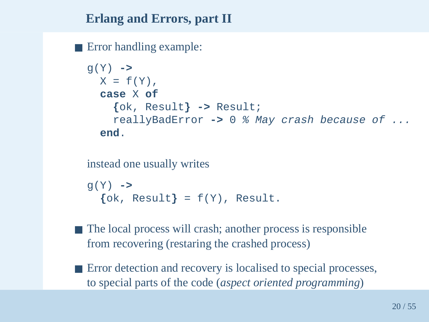■ Error handling example:

```
g(Y) ->
 X = f(Y),
  caseX of

{ok, Result} -> Result;
    reallyBadError ->
0 % May crash because of ...
 end.
```
instead one usually writes

```
g(Y) ->
  {ok, Result
} = f(Y), Result.
```
- The local process will crash; another process is responsible from recovering (restaring the crashed process)
- Error detection and recovery is localised to special processes, to special parts of the code (*aspec<sup>t</sup> oriented programming*)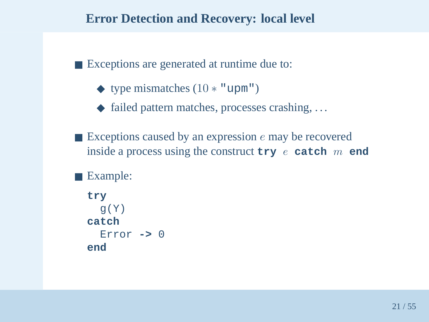■ Exceptions are generated at runtime due to:

- $\blacklozenge$  type mismatches  $(10 * "upm")$
- ◆ failed pattern matches, processes crashing, ...
- Exceptions caused by an expression *e* may be recovered inside a process using the construct  $\tt try e \textbf{ catch } m \textbf{ end}$

■ Example:

```
try
g(Y)
catch
Error ->
0end
```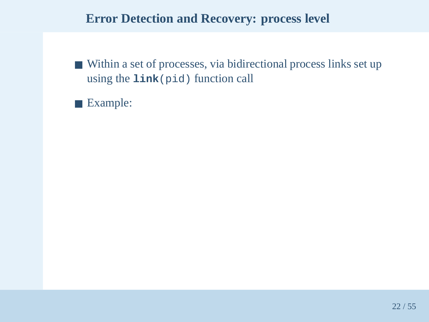- Within a set of processes, via bidirectional process links set up using the **link**(pid) function call
- Example: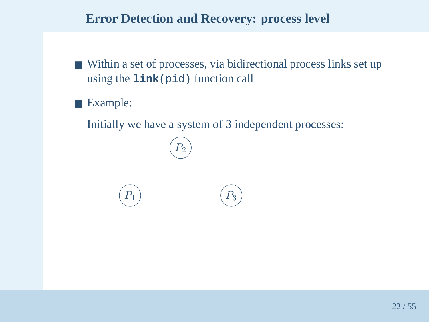- Within a set of processes, via bidirectional process links set up using the **link**(pid) function call
- Example:

 $P_1$ 

Initially we have <sup>a</sup> system of 3 independent processes:

 $\bigcap$  $(P_2)$ 

 $(P_1)$   $(P_3)$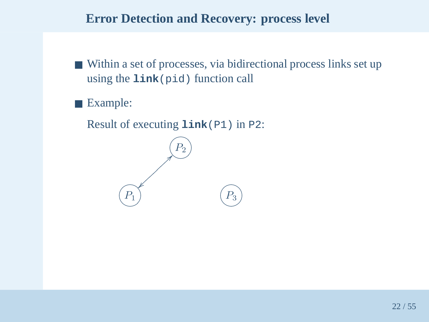- Within a set of processes, via bidirectional process links set up using the **link**(pid) function call
- Example:

Result of executing **link**(P1) in P2:

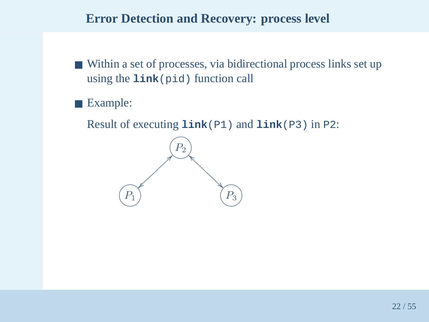- Within a set of processes, via bidirectional process links set up using the **link**(pid) function call
- Example:

Result of executing **link**(P1) and **link**(P3) in P2:

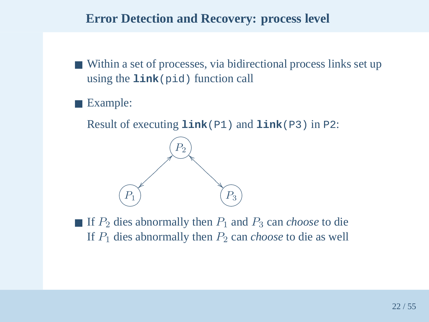- Within a set of processes, via bidirectional process links set up using the **link**(pid) function call
- Example:

Result of executing **link**(P1) and **link**(P3) in P2:



■ If  $P_2$  dies abnormally then  $P_1$  and  $P_3$  can *choose* to die If  $P_1$  dies abnormally then  $P_2$  can *choose* to die as well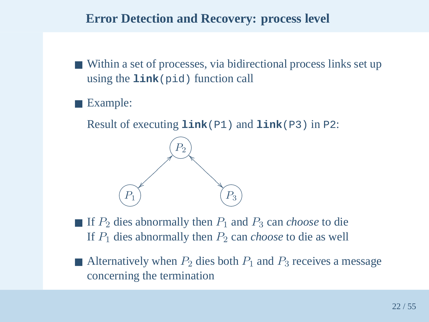- Within a set of processes, via bidirectional process links set up using the **link**(pid) function call
- Example:

Result of executing **link**(P1) and **link**(P3) in P2:



- If  $P_2$  dies abnormally then  $P_1$  and  $P_3$  can *choose* to die If  $P_1$  dies abnormally then  $P_2$  can *choose* to die as well
- Alternatively when  $P_2$  dies both  $P_1$  and  $P_3$  receives a message concerning the termination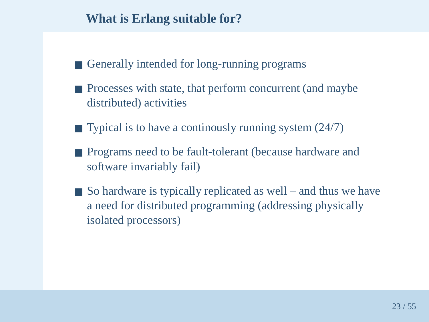#### **What is Erlang suitable for?**

- Generally intended for long-running programs
- Processes with state, that perform concurrent (and maybe distributed) activities
- Typical is to have a continously running system (24/7)
- Programs need to be fault-tolerant (because hardware and software invariably fail)
- So hardware is typically replicated as well and thus we have <sup>a</sup> need for distributed programming (addressing physicallyisolated processors)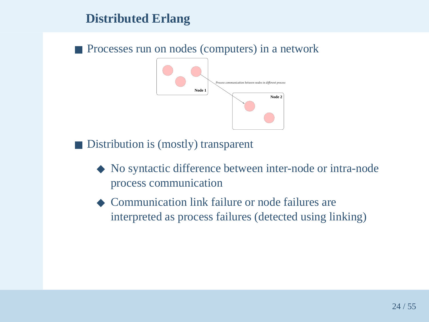## **Distributed Erlang**

■ Processes run on nodes (computers) in a network



■ Distribution is (mostly) transparent

- ◆ No syntactic difference between inter-node or intra-node process communication
- ◆ Communication link failure or node failures are interpreted as process failures (detected using linking)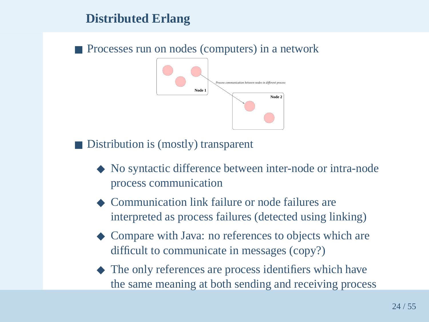## **Distributed Erlang**

■ Processes run on nodes (computers) in a network



■ Distribution is (mostly) transparent

- ◆ No syntactic difference between inter-node or intra-node process communication
- ◆ Communication link failure or node failures are interpreted as process failures (detected using linking)
- ◆ Compare with Java: no references to objects which are difficult to communicate in messages (copy?)
- ◆ The only references are process identifiers which have the same meaning at both sending and receiving process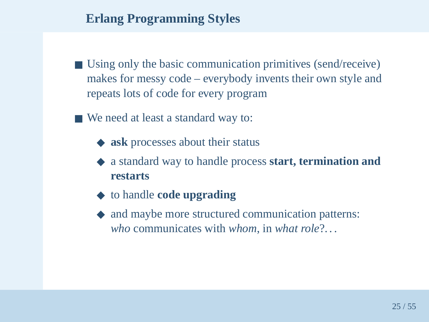## **Erlang Programming Styles**

- Using only the basic communication primitives (send/receive) makes for messy code – everybody invents their own style andrepeats lots of code for every program
- We need at least a standard way to:
	- ◆ **ask** processes about their status
	- ◆ <sup>a</sup> standard way to handle process **start, termination and restarts**
	- ◆ to handle **code upgrading**
	- ◆ and maybe more structured communication patterns: *who* communicates with *whom*, in *what role*?. . .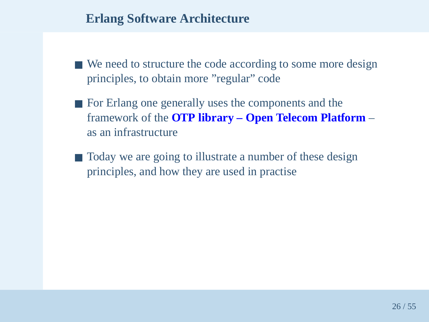#### **Erlang Software Architecture**

- We need to structure the code according to some more design principles, to obtain more "regular" code
- For Erlang one generally uses the components and the framework of the **OTP library – Open Telecom Platform**as an infrastructure
- Today we are going to illustrate a number of these design principles, and how they are used in practise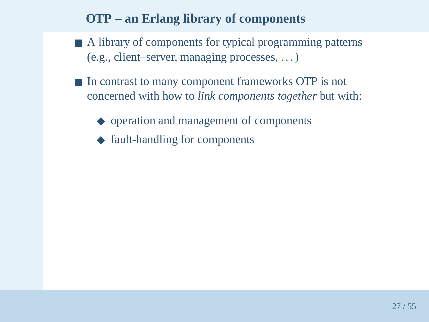## **OTP – an Erlang library of components**

- A library of components for typical programming patterns (e.g., client–server, managing processes, . . . )
- In contrast to many component frameworks OTP is not concerned with how to *link components together* but with:
	- ◆ operation and managemen<sup>t</sup> of components
	- ◆ fault-handling for components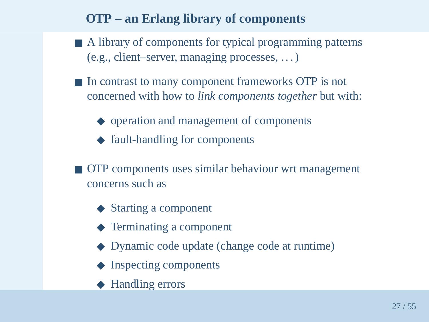# **OTP – an Erlang library of components**

- A library of components for typical programming patterns (e.g., client–server, managing processes, . . . )
- In contrast to many component frameworks OTP is not concerned with how to *link components together* but with:
	- ◆ operation and managemen<sup>t</sup> of components
	- ◆ fault-handling for components
- OTP components uses similar behaviour wrt management concerns such as
	- ◆ Starting <sup>a</sup> componen<sup>t</sup>
	- ◆ Terminating <sup>a</sup> componen<sup>t</sup>
	- ◆ Dynamic code update (change code at runtime)
	- ◆ Inspecting components
	- ◆ Handling errors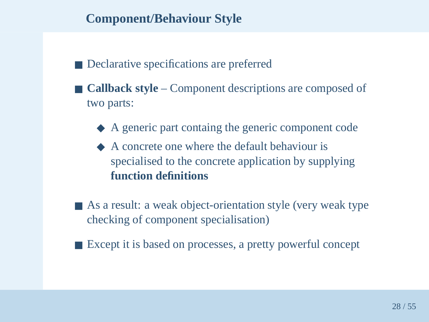### **Component/Behaviour Style**

- Declarative specifications are preferred
- **Callback style** Component descriptions are composed of two parts:
	- ◆ <sup>A</sup> generic par<sup>t</sup> containg the generic componen<sup>t</sup> code
	- ◆ <sup>A</sup> concrete one where the default behaviour is specialised to the concrete application by supplying**function definitions**
- As a result: a weak object-orientation style (very weak type checking of componen<sup>t</sup> specialisation)
- Except it is based on processes, a pretty powerful concept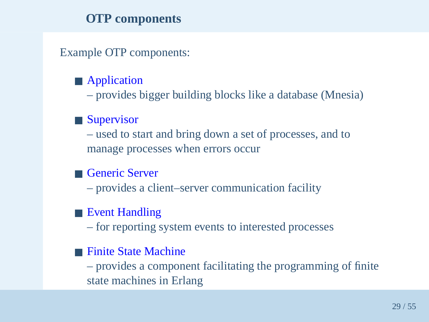### **OTP components**

Example OTP components:

# ■ Application

 $\mathcal{L}_{\mathcal{A}}$ provides bigger building blocks like <sup>a</sup> database (Mnesia)

# ■ Supervisor

 $\mathcal{L}_{\mathcal{A}}$  used to start and bring down <sup>a</sup> set of processes, and tomanage processes when errors occur

# ■ Generic Server

 $\mathcal{L}_{\mathcal{A}}$ provides <sup>a</sup> client–server communication facility

# ■ Event Handling

for reporting system events to interested processes

#### Finite State Machine

 provides <sup>a</sup> componen<sup>t</sup> facilitating the programming of finitestate machines in Erlang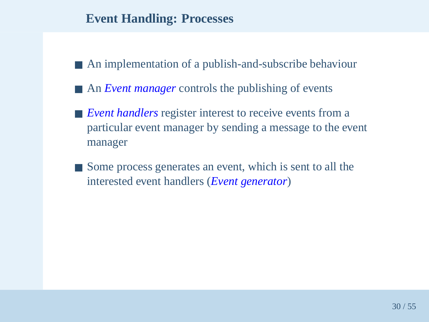#### **Event Handling: Processes**

- An implementation of a publish-and-subscribe behaviour
- An *Event manager* controls the publishing of events
- *Event handlers* register interest to receive events from a particular event manager by sending <sup>a</sup> message to the eventmanager
- Some process generates an event, which is sent to all the interested event handlers (*Event generator*)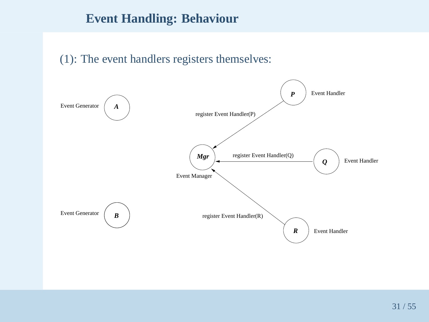#### **Event Handling: Behaviour**

#### (1): The event handlers registers themselves:

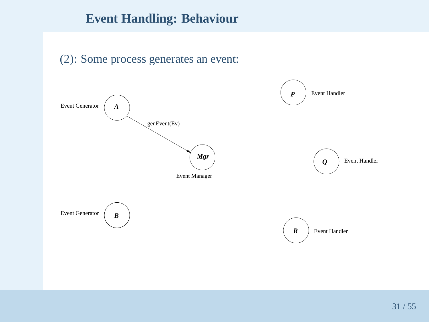## **Event Handling: Behaviour**



#### (2): Some process generates an event: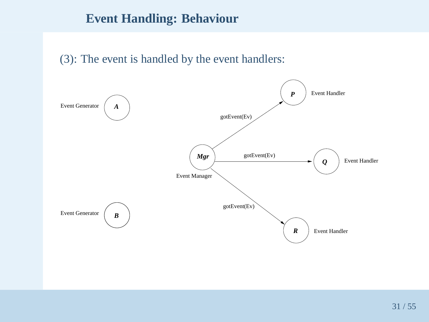#### **Event Handling: Behaviour**

#### (3): The event is handled by the event handlers:

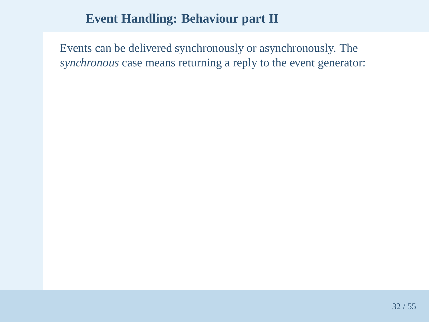## **Event Handling: Behaviour part II**

Events can be delivered synchronously or asynchronously. The*synchronous* case means returning <sup>a</sup> reply to the event generator: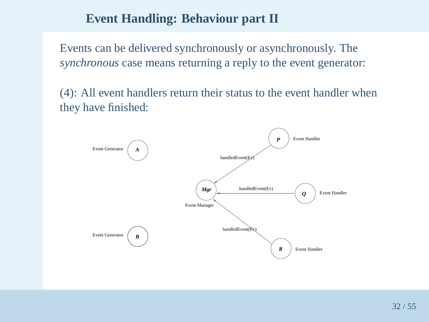## **Event Handling: Behaviour part II**

Events can be delivered synchronously or asynchronously. The*synchronous* case means returning <sup>a</sup> reply to the event generator:

(4): All event handlers return their status to the event handler whenthey have finished:

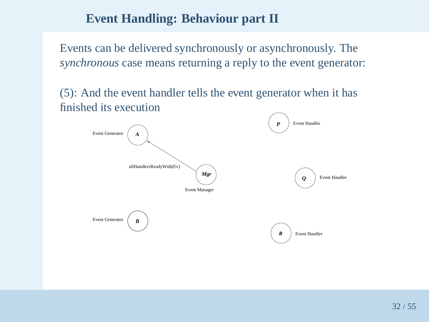## **Event Handling: Behaviour part II**

Events can be delivered synchronously or asynchronously. The*synchronous* case means returning <sup>a</sup> reply to the event generator:

(5): And the event handler tells the event generator when it hasfinished its execution

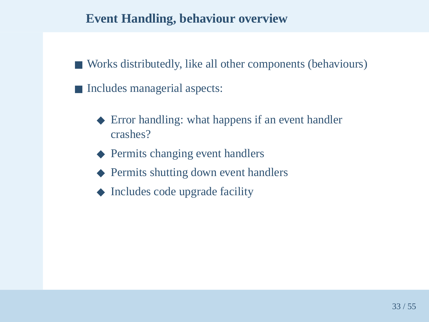### **Event Handling, behaviour overview**

- Works distributedly, like all other components (behaviours)
- Includes managerial aspects:
	- ◆ Error handling: what happens if an event handler crashes?
	- ◆ Permits changing event handlers
	- ◆ Permits shutting down event handlers
	- ◆ Includes code upgrade facility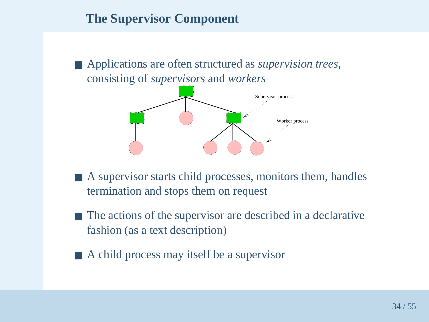## **The Supervisor Component**

■ Applications are often structured as *supervision trees*, consisting of *supervisors* and *workers*



- ■■ A supervisor starts child processes, monitors them, handles termination and stops them on reques<sup>t</sup>
- ■ The actions of the supervisor are described in <sup>a</sup> declarative fashion (as <sup>a</sup> text description)
- A child process may itself be a supervisor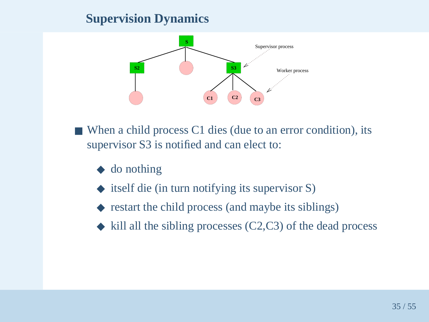# **Supervision Dynamics**



- When a child process C1 dies (due to an error condition), its supervisor S3 is notified and can elect to:
	- ◆ do nothing
	- ◆ itself die (in turn notifying its supervisor S)
	- ◆ restart the child process (and maybe its siblings)
	- ◆ kill all the sibling processes (C2,C3) of the dead process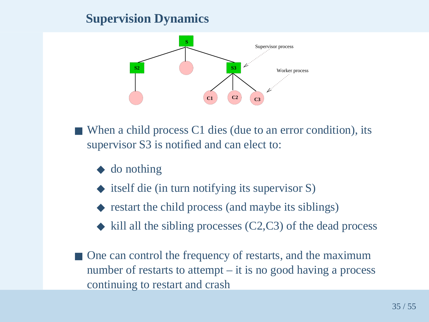# **Supervision Dynamics**



- When a child process C1 dies (due to an error condition), its supervisor S3 is notified and can elect to:
	- ◆ do nothing
	- ◆ itself die (in turn notifying its supervisor S)
	- ◆ restart the child process (and maybe its siblings)
	- ◆ kill all the sibling processes (C2,C3) of the dead process
- One can control the frequency of restarts, and the maximum number of restarts to attempt – it is no good having <sup>a</sup> processcontinuing to restart and crash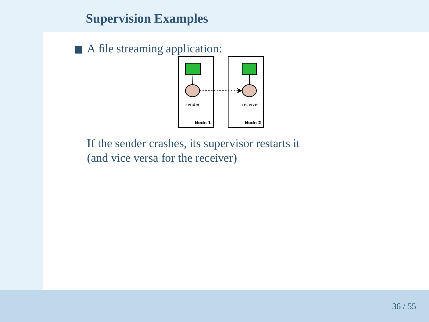# **Supervision Examples**

■ A file streaming application:



If the sender crashes, its supervisor restarts it(and vice versa for the receiver)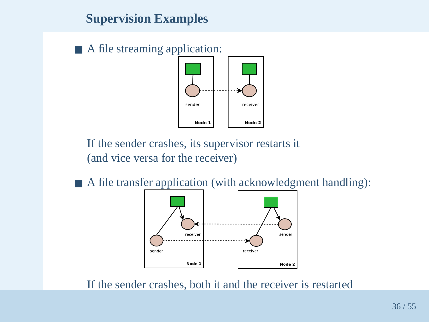# **Supervision Examples**

■ A file streaming application:



If the sender crashes, its supervisor restarts it(and vice versa for the receiver)

■ A file transfer application (with acknowledgment handling):



If the sender crashes, both it and the receiver is restarted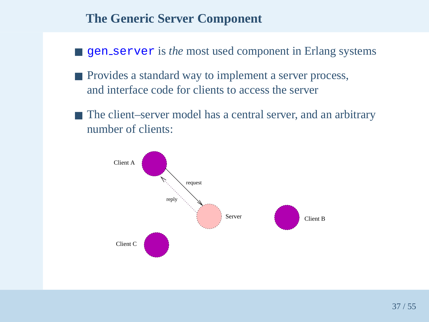### **The Generic Server Component**

- gen\_server is *the* most used component in Erlang systems
- Provides a standard way to implement a server process, and interface code for clients to access the server
- The client–server model has a central server, and an arbitrary number of clients:

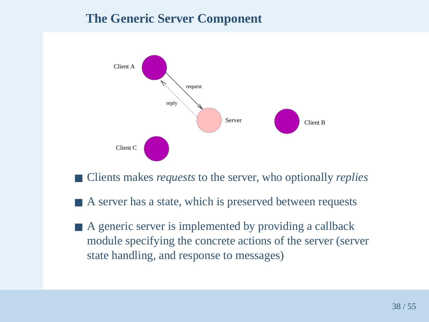## **The Generic Server Component**



- Clients makes *requests* to the server, who optionally *replies*
- A server has a state, which is preserved between requests
- A generic server is implemented by providing a callback module specifying the concrete actions of the server (serverstate handling, and response to messages)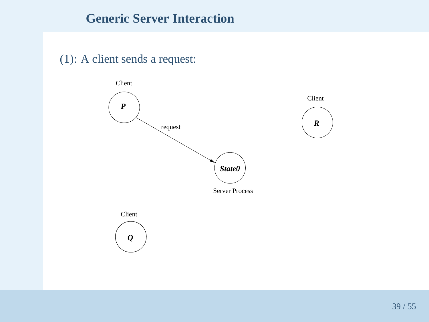#### (1): A client sends <sup>a</sup> request:

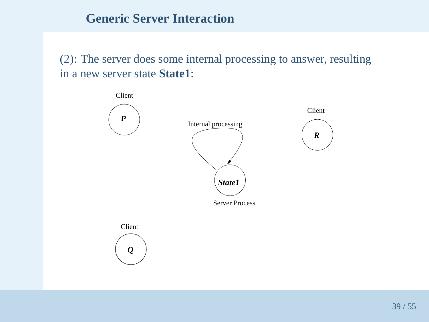(2): The server does some internal processing to answer, resultingin <sup>a</sup> new server state **State1**:

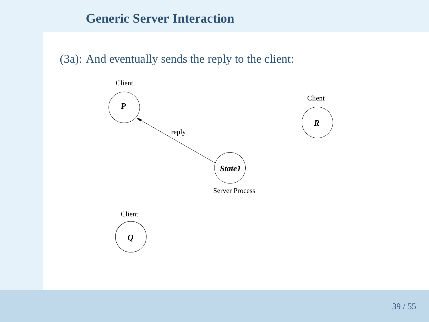#### (3a): And eventually sends the reply to the client:

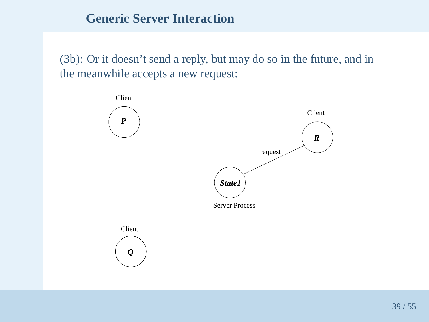(3b): Or it doesn't send <sup>a</sup> reply, but may do so in the future, and inthe meanwhile accepts <sup>a</sup> new request:

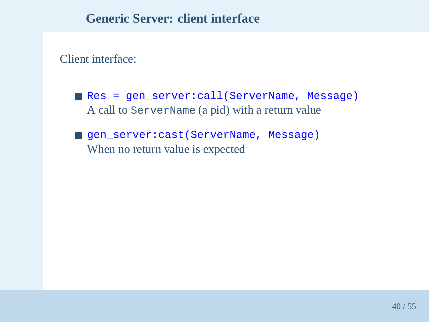#### **Generic Server: client interface**

Client interface:

■ Res <sup>=</sup> gen\_server:call(ServerName, Message) A call to ServerName (a <sup>p</sup>id) with <sup>a</sup> return value

■ gen\_server:cast(ServerName, Message)<br>----When no return value is expected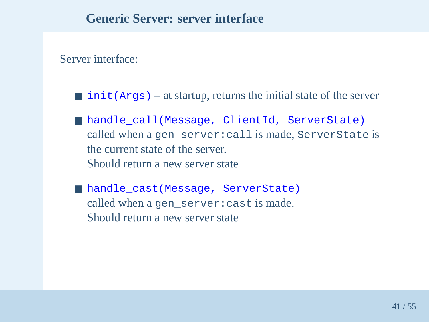Server interface:

- init(Args) at startup, returns the initial state of the server
- handle\_call(Message, ClientId, ServerState) called when <sup>a</sup> gen\_server:call is made, ServerState is the current state of the server. Should return <sup>a</sup> new server state
- handle\_cast(Message, ServerState) called when <sup>a</sup> gen\_server:cast is made. Should return <sup>a</sup> new server state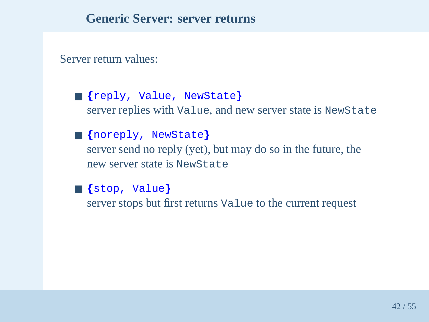Server return values:

- ■**{**reply, Value, NewState **}**server replies with Value, and new server state is NewState
- ■**{**noreply, NewState **}** server send no reply (yet), but may do so in the future, thenew server state is NewState
- ■**{**stop, Value **}**server stops but first returns Value to the current reques<sup>t</sup>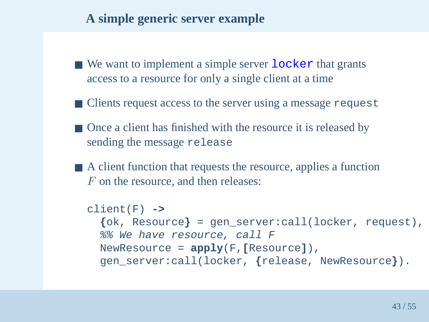## **A simple generic server example**

- We want to implement a simple server locker that grants access to <sup>a</sup> resource for only <sup>a</sup> single client at <sup>a</sup> time
- Clients request access to the server using a message request
- Once a client has finished with the resource it is released by sending the message release
- A client function that requests the resource, applies a function  $F$  on the resource, and then releases:

```
client(F) ->
  {ok, Resource
} = gen_server:call(locker, request),
 %% We have resource, call F
 NewResource = apply(F,
[Resource]),

gen_server:call(locker,{release, NewResource
}).
```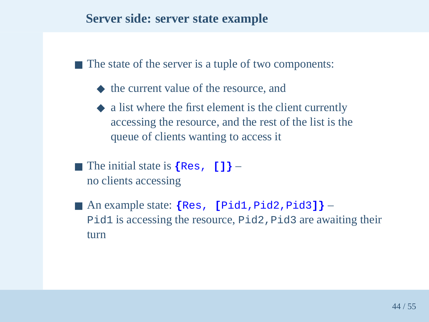#### **Server side: server state example**

■ The state of the server is a tuple of two components:

- ◆ the current value of the resource, and
- ◆ <sup>a</sup> list where the first element is the client currently accessing the resource, and the rest of the list is thequeue of clients wanting to access it
- The initial state is **{**Res, **[]}** no clients accessing
- An example state: **{**Res,**[**Pid1,Pid2,Pid3**]}**Pid1 is accessing the resource, Pid2 , Pid3 are awaiting their turn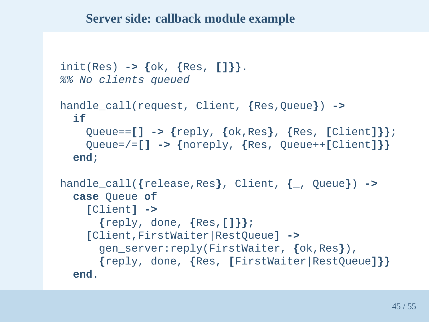#### **Server side: callback module example**

```
init(Res) -> {ok,
{Res, []}}.
%% No clients queued
handle_call(request, Client,
{Res,Queue}) ->
  ifQueue==[] -> {reply,
{ok,Res}, {Res,
[Client]}};

Queue=/=[] -> {noreply,
{Res, Queue++
[Client]}}end;handle_call({release,Res}, Client,
{_, Queue
}) ->

case Queue of
    [Client] ->
      {reply, done,
{Res,[]}};
[Client,FirstWaiter|RestQueue] ->
      gen_server:reply(FirstWaiter,{ok,Res}),

{reply, done,
{Res,[FirstWaiter|RestQueue]}}end.
```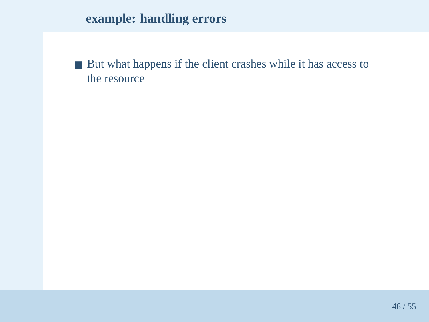# **example: handling errors**

■ But what happens if the client crashes while it has access to the resource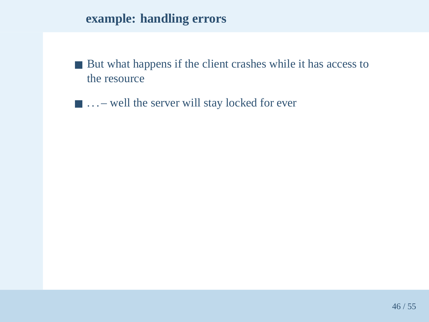## **example: handling errors**

- But what happens if the client crashes while it has access to the resource
- ... well the server will stay locked for ever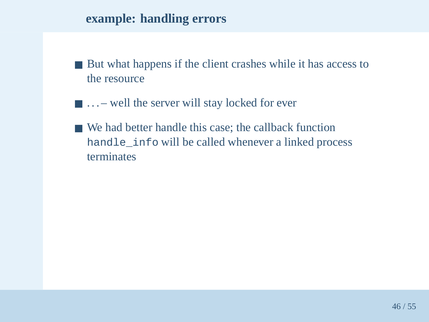#### **example: handling errors**

- But what happens if the client crashes while it has access to the resource
- ... well the server will stay locked for ever
- We had better handle this case; the callback function handle\_info will be called whenever <sup>a</sup> linked process terminates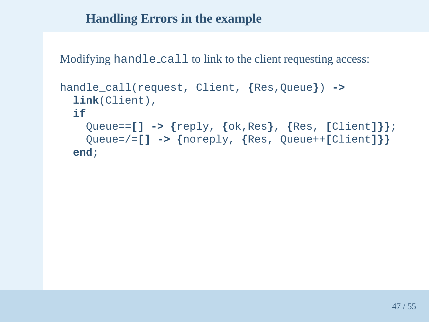## **Handling Errors in the example**

Modifying hand ${\tt le\_call}$  to link to the client requesting access:

```
handle_call(request, Client,
{Res,Queue}) ->
 link(Client),ifQueue==[] -> {reply,
{ok,Res}, {Res,
[Client]}};

Queue=/=[] -> {noreply,
{Res, Queue++
[Client]}}end;
```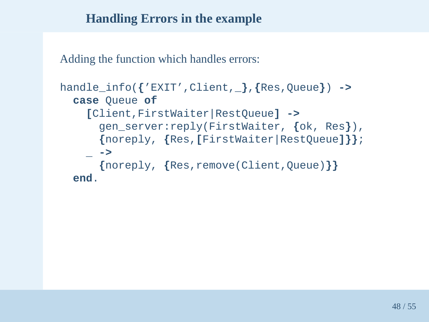## **Handling Errors in the example**

Adding the function which handles errors:

```
handle_info({'EXIT',Client,_},{Res,Queue}) ->

case Queue of
    [Client,FirstWaiter|RestQueue] ->
      gen_server:reply(FirstWaiter,{ok, Res
}),

{noreply,{Res,[FirstWaiter|RestQueue]}}; ->
      {noreply,{Res,remove(Client,Queue)}}end.
```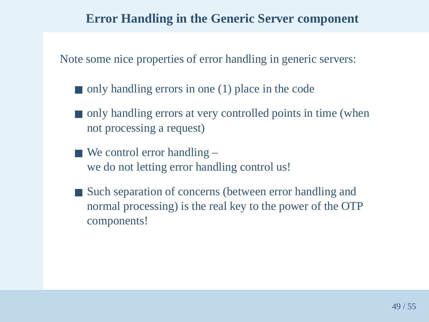#### **Error Handling in the Generic Server component**

Note some nice properties of error handling in generic servers:

- only handling errors in one (1) place in the code
- only handling errors at very controlled points in time (when not processing <sup>a</sup> request)
- We control error handling we do not letting error handling control us!
- Such separation of concerns (between error handling and normal processing) is the real key to the power of the OTPcomponents!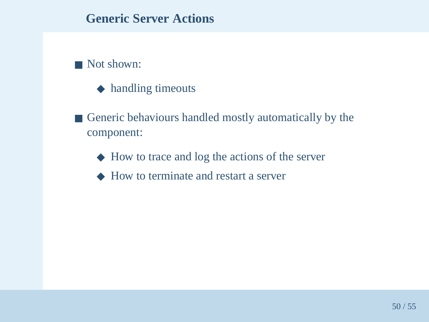# ■ Not shown:

- ◆ handling timeouts
- Generic behaviours handled mostly automatically by the component:
	- ◆ How to trace and log the actions of the server
	- ◆ How to terminate and restart <sup>a</sup> server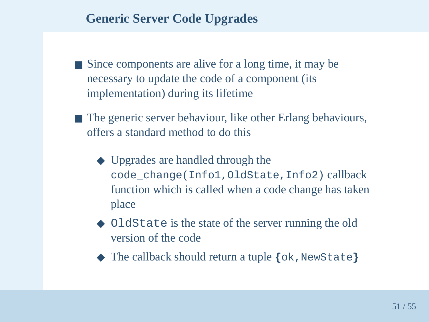# **Generic Server Code Upgrades**

- Since components are alive for a long time, it may be necessary to update the code of <sup>a</sup> componen<sup>t</sup> (itsimplementation) during its lifetime
- The generic server behaviour, like other Erlang behaviours, offers <sup>a</sup> standard method to do this
	- ◆ Upgrades are handled through the code\_change(Info1,OldState,Info2) callback function which is called when <sup>a</sup> code change has takenplace
	- ◆ OldState is the state of the server running the old version of the code
	- ◆ The callback should return a tuple  $\{\circ\mathbf{k}$  , NewState}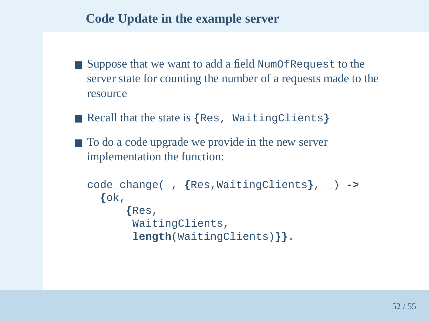## **Code Update in the example server**

- Suppose that we want to add a field NumOfRequest to the server state for counting the number of <sup>a</sup> requests made to theresource
- Recall that the state is **{**Res, WaitingClients **}**
- To do a code upgrade we provide in the new server implementation the function:

```
code_change(_,{Res,WaitingClients}, _) ->
 {ok,{Res,
WaitingClients,
length(WaitingClients)}}.
```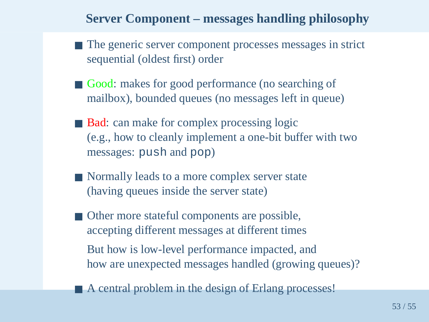## **Server Component – messages handling philosophy**

- The generic server component processes messages in strict sequential (oldest first) order
- Good: makes for good performance (no searching of mailbox), bounded queues (no messages left in queue)
- Bad: can make for complex processing logic (e.g., how to cleanly implement <sup>a</sup> one-bit buffer with twomessages: push and pop )
- Normally leads to a more complex server state (having queues inside the server state)
- Other more stateful components are possible, accepting different messages at different timesBut how is low-level performance impacted, andhow are unexpected messages handled (growing queues)?
- A central problem in the design of Erlang processes!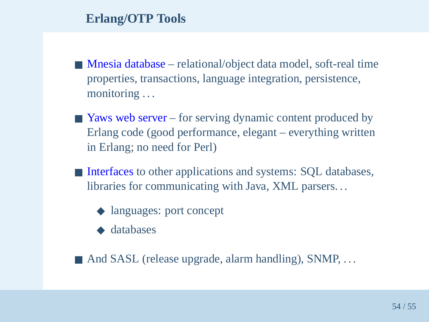# **Erlang/OTP Tools**

- Mnesia database relational/object data model, soft-real time properties, transactions, language integration, persistence, monitoring . . .
- Yaws web server for serving dynamic content produced by Erlang code (good performance, elegant – everything writtenin Erlang; no need for Perl)
- Interfaces to other applications and systems: SQL databases, libraries for communicating with Java, XML parsers. . .
	- ◆ languages: port concept
	- ◆ databases
- And SASL (release upgrade, alarm handling), SNMP, ...